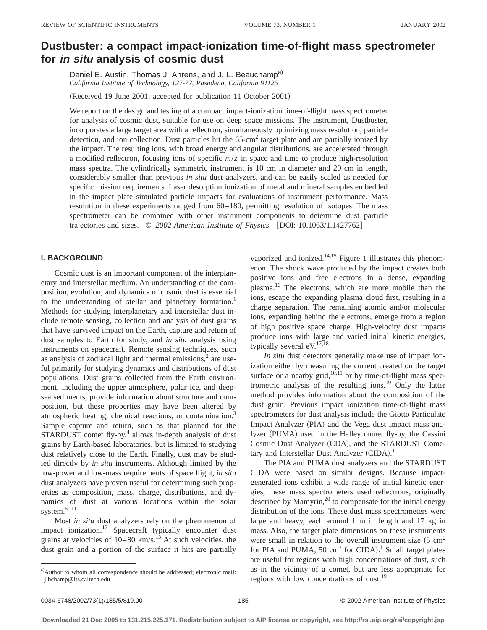# **Dustbuster: a compact impact-ionization time-of-flight mass spectrometer for in situ analysis of cosmic dust**

Daniel E. Austin, Thomas J. Ahrens, and J. L. Beauchamp<sup>a)</sup> *California Institute of Technology, 127-72, Pasadena, California 91125*

(Received 19 June 2001; accepted for publication 11 October 2001)

We report on the design and testing of a compact impact-ionization time-of-flight mass spectrometer for analysis of cosmic dust, suitable for use on deep space missions. The instrument, Dustbuster, incorporates a large target area with a reflectron, simultaneously optimizing mass resolution, particle detection, and ion collection. Dust particles hit the 65-cm<sup>2</sup> target plate and are partially ionized by the impact. The resulting ions, with broad energy and angular distributions, are accelerated through a modified reflectron, focusing ions of specific *m*/*z* in space and time to produce high-resolution mass spectra. The cylindrically symmetric instrument is 10 cm in diameter and 20 cm in length, considerably smaller than previous *in situ* dust analyzers, and can be easily scaled as needed for specific mission requirements. Laser desorption ionization of metal and mineral samples embedded in the impact plate simulated particle impacts for evaluations of instrument performance. Mass resolution in these experiments ranged from 60–180, permitting resolution of isotopes. The mass spectrometer can be combined with other instrument components to determine dust particle trajectories and sizes.  $\degree$  2002 American Institute of Physics. [DOI: 10.1063/1.1427762]

### **I. BACKGROUND**

Cosmic dust is an important component of the interplanetary and interstellar medium. An understanding of the composition, evolution, and dynamics of cosmic dust is essential to the understanding of stellar and planetary formation.<sup>1</sup> Methods for studying interplanetary and interstellar dust include remote sensing, collection and analysis of dust grains that have survived impact on the Earth, capture and return of dust samples to Earth for study, and *in situ* analysis using instruments on spacecraft. Remote sensing techniques, such as analysis of zodiacal light and thermal emissions, $<sup>2</sup>$  are use-</sup> ful primarily for studying dynamics and distributions of dust populations. Dust grains collected from the Earth environment, including the upper atmosphere, polar ice, and deepsea sediments, provide information about structure and composition, but these properties may have been altered by atmospheric heating, chemical reactions, or contamination.<sup>3</sup> Sample capture and return, such as that planned for the STARDUST comet fly-by, $4$  allows in-depth analysis of dust grains by Earth-based laboratories, but is limited to studying dust relatively close to the Earth. Finally, dust may be studied directly by *in situ* instruments. Although limited by the low-power and low-mass requirements of space flight, *in situ* dust analyzers have proven useful for determining such properties as composition, mass, charge, distributions, and dynamics of dust at various locations within the solar system. $5-11$ 

Most *in situ* dust analyzers rely on the phenomenon of impact ionization.<sup>12</sup> Spacecraft typically encounter dust grains at velocities of  $10-80$  km/s.<sup>13</sup> At such velocities, the dust grain and a portion of the surface it hits are partially vaporized and ionized.<sup>14,15</sup> Figure 1 illustrates this phenomenon. The shock wave produced by the impact creates both positive ions and free electrons in a dense, expanding plasma.16 The electrons, which are more mobile than the ions, escape the expanding plasma cloud first, resulting in a charge separation. The remaining atomic and/or molecular ions, expanding behind the electrons, emerge from a region of high positive space charge. High-velocity dust impacts produce ions with large and varied initial kinetic energies, typically several  $eV<sub>17,18</sub>$ 

*In situ* dust detectors generally make use of impact ionization either by measuring the current created on the target surface or a nearby grid, $10,11$  or by time-of-flight mass spectrometric analysis of the resulting ions.<sup>19</sup> Only the latter method provides information about the composition of the dust grain. Previous impact ionization time-of-flight mass spectrometers for dust analysis include the Giotto Particulate Impact Analyzer (PIA) and the Vega dust impact mass analyzer (PUMA) used in the Halley comet fly-by, the Cassini Cosmic Dust Analyzer (CDA), and the STARDUST Cometary and Interstellar Dust Analyzer (CIDA).<sup>1</sup>

The PIA and PUMA dust analyzers and the STARDUST CIDA were based on similar designs. Because impactgenerated ions exhibit a wide range of initial kinetic energies, these mass spectrometers used reflectrons, originally described by Mamyrin, $^{20}$  to compensate for the initial energy distribution of the ions. These dust mass spectrometers were large and heavy, each around 1 m in length and 17 kg in mass. Also, the target plate dimensions on these instruments were small in relation to the overall instrument size  $(5 \text{ cm}^2)$ for PIA and PUMA, 50  $\text{cm}^2$  for CIDA).<sup>1</sup> Small target plates are useful for regions with high concentrations of dust, such as in the vicinity of a comet, but are less appropriate for regions with low concentrations of dust.<sup>19</sup>

a)Author to whom all correspondence should be addressed; electronic mail: jlbchamp@its.caltech.edu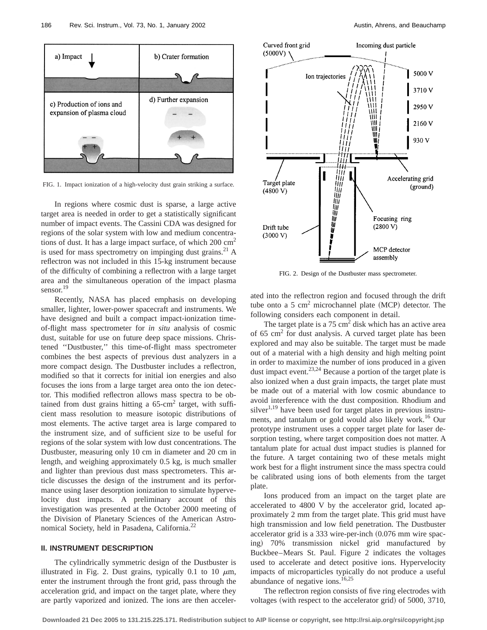

FIG. 1. Impact ionization of a high-velocity dust grain striking a surface.

In regions where cosmic dust is sparse, a large active target area is needed in order to get a statistically significant number of impact events. The Cassini CDA was designed for regions of the solar system with low and medium concentrations of dust. It has a large impact surface, of which  $200 \text{ cm}^2$ is used for mass spectrometry on impinging dust grains.<sup>21</sup> A reflectron was not included in this 15-kg instrument because of the difficulty of combining a reflectron with a large target area and the simultaneous operation of the impact plasma sensor.<sup>19</sup>

Recently, NASA has placed emphasis on developing smaller, lighter, lower-power spacecraft and instruments. We have designed and built a compact impact-ionization timeof-flight mass spectrometer for *in situ* analysis of cosmic dust, suitable for use on future deep space missions. Christened ''Dustbuster,'' this time-of-flight mass spectrometer combines the best aspects of previous dust analyzers in a more compact design. The Dustbuster includes a reflectron, modified so that it corrects for initial ion energies and also focuses the ions from a large target area onto the ion detector. This modified reflectron allows mass spectra to be obtained from dust grains hitting a  $65$ -cm<sup>2</sup> target, with sufficient mass resolution to measure isotopic distributions of most elements. The active target area is large compared to the instrument size, and of sufficient size to be useful for regions of the solar system with low dust concentrations. The Dustbuster, measuring only 10 cm in diameter and 20 cm in length, and weighing approximately 0.5 kg, is much smaller and lighter than previous dust mass spectrometers. This article discusses the design of the instrument and its performance using laser desorption ionization to simulate hypervelocity dust impacts. A preliminary account of this investigation was presented at the October 2000 meeting of the Division of Planetary Sciences of the American Astronomical Society, held in Pasadena, California.<sup>22</sup>

#### **II. INSTRUMENT DESCRIPTION**

The cylindrically symmetric design of the Dustbuster is illustrated in Fig. 2. Dust grains, typically 0.1 to 10  $\mu$ m, enter the instrument through the front grid, pass through the acceleration grid, and impact on the target plate, where they are partly vaporized and ionized. The ions are then acceler-



FIG. 2. Design of the Dustbuster mass spectrometer.

ated into the reflectron region and focused through the drift tube onto a 5  $\text{cm}^2$  microchannel plate (MCP) detector. The following considers each component in detail.

The target plate is a  $75 \text{ cm}^2$  disk which has an active area of 65  $\text{cm}^2$  for dust analysis. A curved target plate has been explored and may also be suitable. The target must be made out of a material with a high density and high melting point in order to maximize the number of ions produced in a given dust impact event.<sup>23,24</sup> Because a portion of the target plate is also ionized when a dust grain impacts, the target plate must be made out of a material with low cosmic abundance to avoid interference with the dust composition. Rhodium and silver $1,19$  have been used for target plates in previous instruments, and tantalum or gold would also likely work.<sup>16</sup> Our prototype instrument uses a copper target plate for laser desorption testing, where target composition does not matter. A tantalum plate for actual dust impact studies is planned for the future. A target containing two of these metals might work best for a flight instrument since the mass spectra could be calibrated using ions of both elements from the target plate.

Ions produced from an impact on the target plate are accelerated to 4800 V by the accelerator grid, located approximately 2 mm from the target plate. This grid must have high transmission and low field penetration. The Dustbuster accelerator grid is a 333 wire-per-inch  $(0.076$  mm wire spacing) 70% transmission nickel grid manufactured by Buckbee–Mears St. Paul. Figure 2 indicates the voltages used to accelerate and detect positive ions. Hypervelocity impacts of microparticles typically do not produce a useful abundance of negative ions.<sup>16,25</sup>

The reflectron region consists of five ring electrodes with voltages (with respect to the accelerator grid) of  $5000$ ,  $3710$ ,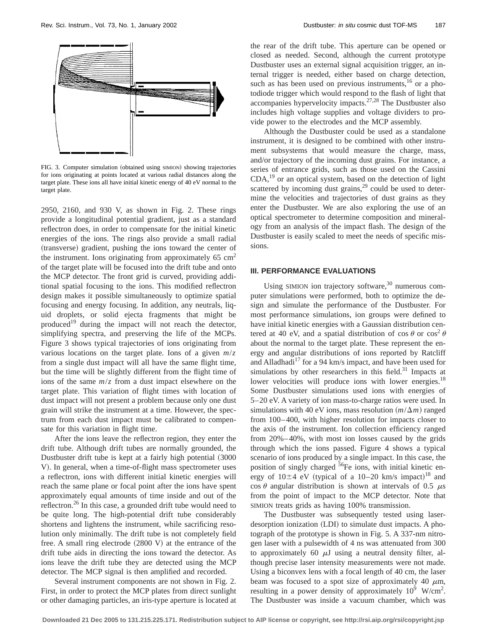

FIG. 3. Computer simulation (obtained using SIMION) showing trajectories for ions originating at points located at various radial distances along the target plate. These ions all have initial kinetic energy of 40 eV normal to the target plate.

2950, 2160, and 930 V, as shown in Fig. 2. These rings provide a longitudinal potential gradient, just as a standard reflectron does, in order to compensate for the initial kinetic energies of the ions. The rings also provide a small radial (transverse) gradient, pushing the ions toward the center of the instrument. Ions originating from approximately  $65 \text{ cm}^2$ of the target plate will be focused into the drift tube and onto the MCP detector. The front grid is curved, providing additional spatial focusing to the ions. This modified reflectron design makes it possible simultaneously to optimize spatial focusing and energy focusing. In addition, any neutrals, liquid droplets, or solid ejecta fragments that might be produced<sup>19</sup> during the impact will not reach the detector, simplifying spectra, and preserving the life of the MCPs. Figure 3 shows typical trajectories of ions originating from various locations on the target plate. Ions of a given *m*/*z* from a single dust impact will all have the same flight time, but the time will be slightly different from the flight time of ions of the same *m*/*z* from a dust impact elsewhere on the target plate. This variation of flight times with location of dust impact will not present a problem because only one dust grain will strike the instrument at a time. However, the spectrum from each dust impact must be calibrated to compensate for this variation in flight time.

After the ions leave the reflectron region, they enter the drift tube. Although drift tubes are normally grounded, the Dustbuster drift tube is kept at a fairly high potential (3000) V). In general, when a time-of-flight mass spectrometer uses a reflectron, ions with different initial kinetic energies will reach the same plane or focal point after the ions have spent approximately equal amounts of time inside and out of the reflectron.<sup>26</sup> In this case, a grounded drift tube would need to be quite long. The high-potential drift tube considerably shortens and lightens the instrument, while sacrificing resolution only minimally. The drift tube is not completely field free. A small ring electrode  $(2800 V)$  at the entrance of the drift tube aids in directing the ions toward the detector. As ions leave the drift tube they are detected using the MCP detector. The MCP signal is then amplified and recorded.

Several instrument components are not shown in Fig. 2. First, in order to protect the MCP plates from direct sunlight or other damaging particles, an iris-type aperture is located at the rear of the drift tube. This aperture can be opened or closed as needed. Second, although the current prototype Dustbuster uses an external signal acquisition trigger, an internal trigger is needed, either based on charge detection, such as has been used on previous instruments, $16$  or a photodiode trigger which would respond to the flash of light that accompanies hypervelocity impacts.27,28 The Dustbuster also includes high voltage supplies and voltage dividers to provide power to the electrodes and the MCP assembly.

Although the Dustbuster could be used as a standalone instrument, it is designed to be combined with other instrument subsystems that would measure the charge, mass, and/or trajectory of the incoming dust grains. For instance, a series of entrance grids, such as those used on the Cassini CDA,19 or an optical system, based on the detection of light scattered by incoming dust grains, $29$  could be used to determine the velocities and trajectories of dust grains as they enter the Dustbuster. We are also exploring the use of an optical spectrometer to determine composition and mineralogy from an analysis of the impact flash. The design of the Dustbuster is easily scaled to meet the needs of specific missions.

## **III. PERFORMANCE EVALUATIONS**

Using SIMION ion trajectory software, $30$  numerous computer simulations were performed, both to optimize the design and simulate the performance of the Dustbuster. For most performance simulations, ion groups were defined to have initial kinetic energies with a Gaussian distribution centered at 40 eV, and a spatial distribution of cos  $\theta$  or cos<sup>2</sup>  $\theta$ about the normal to the target plate. These represent the energy and angular distributions of ions reported by Ratcliff and Alladhadi<sup>17</sup> for a 94 km/s impact, and have been used for simulations by other researchers in this field. $31$  Impacts at lower velocities will produce ions with lower energies.<sup>18</sup> Some Dustbuster simulations used ions with energies of 5–20 eV. A variety of ion mass-to-charge ratios were used. In simulations with 40 eV ions, mass resolution  $(m/\Delta m)$  ranged from 100–400, with higher resolution for impacts closer to the axis of the instrument. Ion collection efficiency ranged from 20%–40%, with most ion losses caused by the grids through which the ions passed. Figure 4 shows a typical scenario of ions produced by a single impact. In this case, the position of singly charged <sup>56</sup>Fe ions, with initial kinetic energy of  $10\pm4$  eV (typical of a 10–20 km/s impact)<sup>18</sup> and  $\cos \theta$  angular distribution is shown at intervals of 0.5  $\mu$ s from the point of impact to the MCP detector. Note that SIMION treats grids as having 100% transmission.

The Dustbuster was subsequently tested using laserdesorption ionization (LDI) to simulate dust impacts. A photograph of the prototype is shown in Fig. 5. A 337-nm nitrogen laser with a pulsewidth of 4 ns was attenuated from 300 to approximately 60  $\mu$ J using a neutral density filter, although precise laser intensity measurements were not made. Using a biconvex lens with a focal length of 40 cm, the laser beam was focused to a spot size of approximately 40  $\mu$ m, resulting in a power density of approximately  $10^9$  W/cm<sup>2</sup>. The Dustbuster was inside a vacuum chamber, which was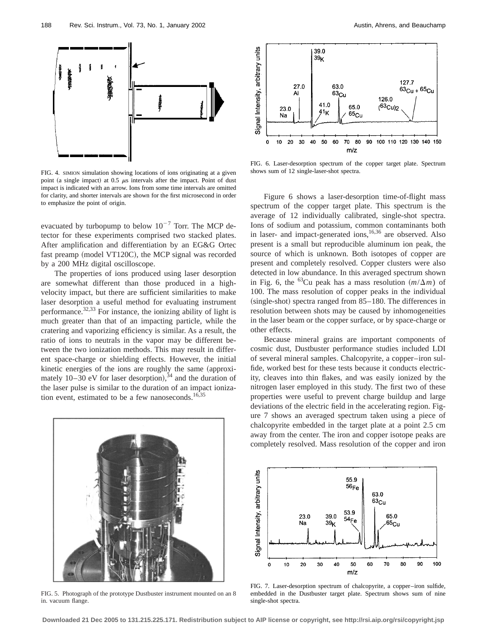

FIG. 4. SIMION simulation showing locations of ions originating at a given point (a single impact) at 0.5  $\mu$ s intervals after the impact. Point of dust impact is indicated with an arrow. Ions from some time intervals are omitted for clarity, and shorter intervals are shown for the first microsecond in order to emphasize the point of origin.

evacuated by turbopump to below  $10^{-7}$  Torr. The MCP detector for these experiments comprised two stacked plates. After amplification and differentiation by an EG&G Ortec fast preamp (model VT120C), the MCP signal was recorded by a 200 MHz digital oscilloscope.

The properties of ions produced using laser desorption are somewhat different than those produced in a highvelocity impact, but there are sufficient similarities to make laser desorption a useful method for evaluating instrument performance.32,33 For instance, the ionizing ability of light is much greater than that of an impacting particle, while the cratering and vaporizing efficiency is similar. As a result, the ratio of ions to neutrals in the vapor may be different between the two ionization methods. This may result in different space-charge or shielding effects. However, the initial kinetic energies of the ions are roughly the same (approximately  $10-30$  eV for laser desorption),  $34$  and the duration of the laser pulse is similar to the duration of an impact ionization event, estimated to be a few nanoseconds.<sup>16,35</sup>



FIG. 5. Photograph of the prototype Dustbuster instrument mounted on an 8 in. vacuum flange.



FIG. 6. Laser-desorption spectrum of the copper target plate. Spectrum shows sum of 12 single-laser-shot spectra.

Figure 6 shows a laser-desorption time-of-flight mass spectrum of the copper target plate. This spectrum is the average of 12 individually calibrated, single-shot spectra. Ions of sodium and potassium, common contaminants both in laser- and impact-generated ions,<sup>16,36</sup> are observed. Also present is a small but reproducible aluminum ion peak, the source of which is unknown. Both isotopes of copper are present and completely resolved. Copper clusters were also detected in low abundance. In this averaged spectrum shown in Fig. 6, the <sup>63</sup>Cu peak has a mass resolution  $(m/\Delta m)$  of 100. The mass resolution of copper peaks in the individual  $(single-shot)$  spectra ranged from 85–180. The differences in resolution between shots may be caused by inhomogeneities in the laser beam or the copper surface, or by space-charge or other effects.

Because mineral grains are important components of cosmic dust, Dustbuster performance studies included LDI of several mineral samples. Chalcopyrite, a copper–iron sulfide, worked best for these tests because it conducts electricity, cleaves into thin flakes, and was easily ionized by the nitrogen laser employed in this study. The first two of these properties were useful to prevent charge buildup and large deviations of the electric field in the accelerating region. Figure 7 shows an averaged spectrum taken using a piece of chalcopyrite embedded in the target plate at a point 2.5 cm away from the center. The iron and copper isotope peaks are completely resolved. Mass resolution of the copper and iron



FIG. 7. Laser-desorption spectrum of chalcopyrite, a copper–iron sulfide, embedded in the Dustbuster target plate. Spectrum shows sum of nine single-shot spectra.

**Downloaded 21 Dec 2005 to 131.215.225.171. Redistribution subject to AIP license or copyright, see http://rsi.aip.org/rsi/copyright.jsp**